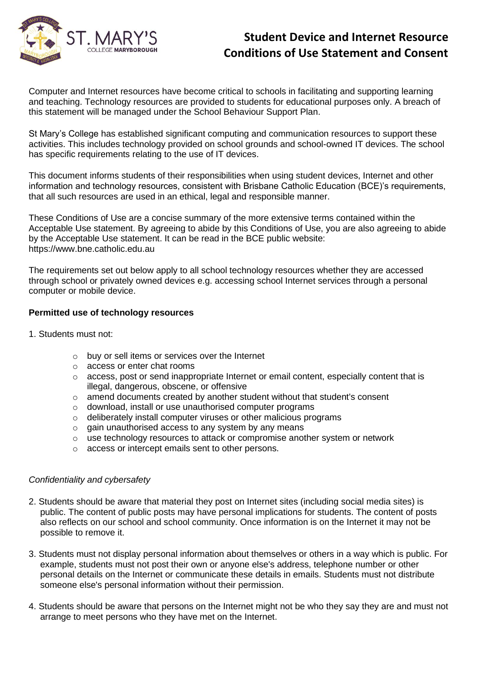

Computer and Internet resources have become critical to schools in facilitating and supporting learning and teaching. Technology resources are provided to students for educational purposes only. A breach of this statement will be managed under the School Behaviour Support Plan.

St Mary's College has established significant computing and communication resources to support these activities. This includes technology provided on school grounds and school-owned IT devices. The school has specific requirements relating to the use of IT devices.

This document informs students of their responsibilities when using student devices, Internet and other information and technology resources, consistent with Brisbane Catholic Education (BCE)'s requirements, that all such resources are used in an ethical, legal and responsible manner.

These Conditions of Use are a concise summary of the more extensive terms contained within the Acceptable Use statement. By agreeing to abide by this Conditions of Use, you are also agreeing to abide by the Acceptable Use statement. It can be read in the BCE public website: https://www.bne.catholic.edu.au

The requirements set out below apply to all school technology resources whether they are accessed through school or privately owned devices e.g. accessing school Internet services through a personal computer or mobile device.

### **Permitted use of technology resources**

- 1. Students must not:
	- o buy or sell items or services over the Internet
	- o access or enter chat rooms
	- o access, post or send inappropriate Internet or email content, especially content that is illegal, dangerous, obscene, or offensive
	- o amend documents created by another student without that student's consent
	- o download, install or use unauthorised computer programs
	- o deliberately install computer viruses or other malicious programs
	- o gain unauthorised access to any system by any means
	- o use technology resources to attack or compromise another system or network
	- o access or intercept emails sent to other persons.

#### *Confidentiality and cybersafety*

- 2. Students should be aware that material they post on Internet sites (including social media sites) is public. The content of public posts may have personal implications for students. The content of posts also reflects on our school and school community. Once information is on the Internet it may not be possible to remove it.
- 3. Students must not display personal information about themselves or others in a way which is public. For example, students must not post their own or anyone else's address, telephone number or other personal details on the Internet or communicate these details in emails. Students must not distribute someone else's personal information without their permission.
- 4. Students should be aware that persons on the Internet might not be who they say they are and must not arrange to meet persons who they have met on the Internet.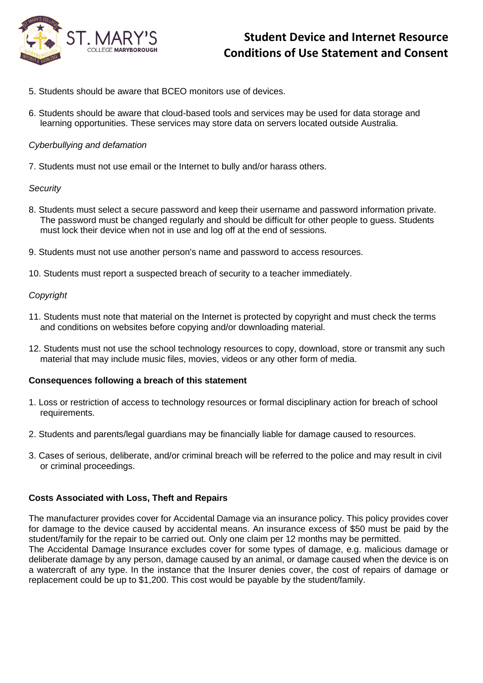

- 5. Students should be aware that BCEO monitors use of devices.
- 6. Students should be aware that cloud-based tools and services may be used for data storage and learning opportunities. These services may store data on servers located outside Australia.

### *Cyberbullying and defamation*

7. Students must not use email or the Internet to bully and/or harass others.

### *Security*

- 8. Students must select a secure password and keep their username and password information private. The password must be changed regularly and should be difficult for other people to guess. Students must lock their device when not in use and log off at the end of sessions.
- 9. Students must not use another person's name and password to access resources.
- 10. Students must report a suspected breach of security to a teacher immediately.

### *Copyright*

- 11. Students must note that material on the Internet is protected by copyright and must check the terms and conditions on websites before copying and/or downloading material.
- 12. Students must not use the school technology resources to copy, download, store or transmit any such material that may include music files, movies, videos or any other form of media.

### **Consequences following a breach of this statement**

- 1. Loss or restriction of access to technology resources or formal disciplinary action for breach of school requirements.
- 2. Students and parents/legal guardians may be financially liable for damage caused to resources.
- 3. Cases of serious, deliberate, and/or criminal breach will be referred to the police and may result in civil or criminal proceedings.

### **Costs Associated with Loss, Theft and Repairs**

The manufacturer provides cover for Accidental Damage via an insurance policy. This policy provides cover for damage to the device caused by accidental means. An insurance excess of \$50 must be paid by the student/family for the repair to be carried out. Only one claim per 12 months may be permitted. The Accidental Damage Insurance excludes cover for some types of damage, e.g. malicious damage or deliberate damage by any person, damage caused by an animal, or damage caused when the device is on a watercraft of any type. In the instance that the Insurer denies cover, the cost of repairs of damage or replacement could be up to \$1,200. This cost would be payable by the student/family.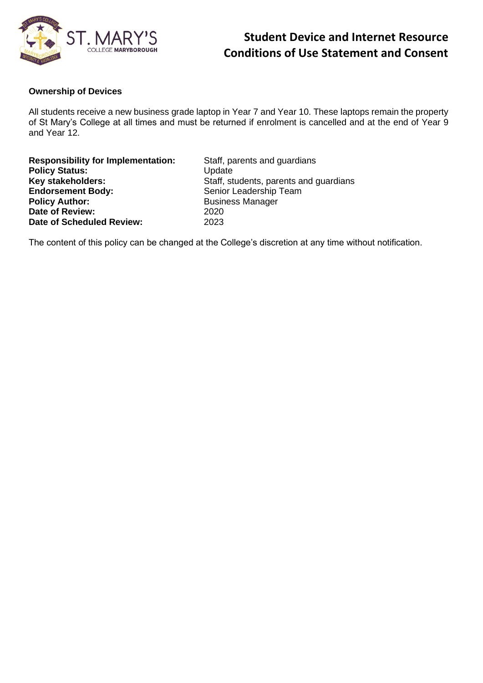

#### **Ownership of Devices**

All students receive a new business grade laptop in Year 7 and Year 10. These laptops remain the property of St Mary's College at all times and must be returned if enrolment is cancelled and at the end of Year 9 and Year 12.

**Responsibility for Implementation:** Staff, parents and guardians Policy Status: **We are all that Container Contains Contains Contains Contains Contains Contains Contains Contains Contains Contains Contains Contains Contains Contains Contains Contains Contains Contains Contains Contains Endorsement Body:** Senior Leadership Team<br> **Policy Author:** Susiness Manager **Date of Review:** 2020<br> **Date of Scheduled Review:** 2023 **Date of Scheduled Review:** 

**Key stakeholders:** Staff, students, parents and guardians **Policy Author:** Business Manager

The content of this policy can be changed at the College's discretion at any time without notification.